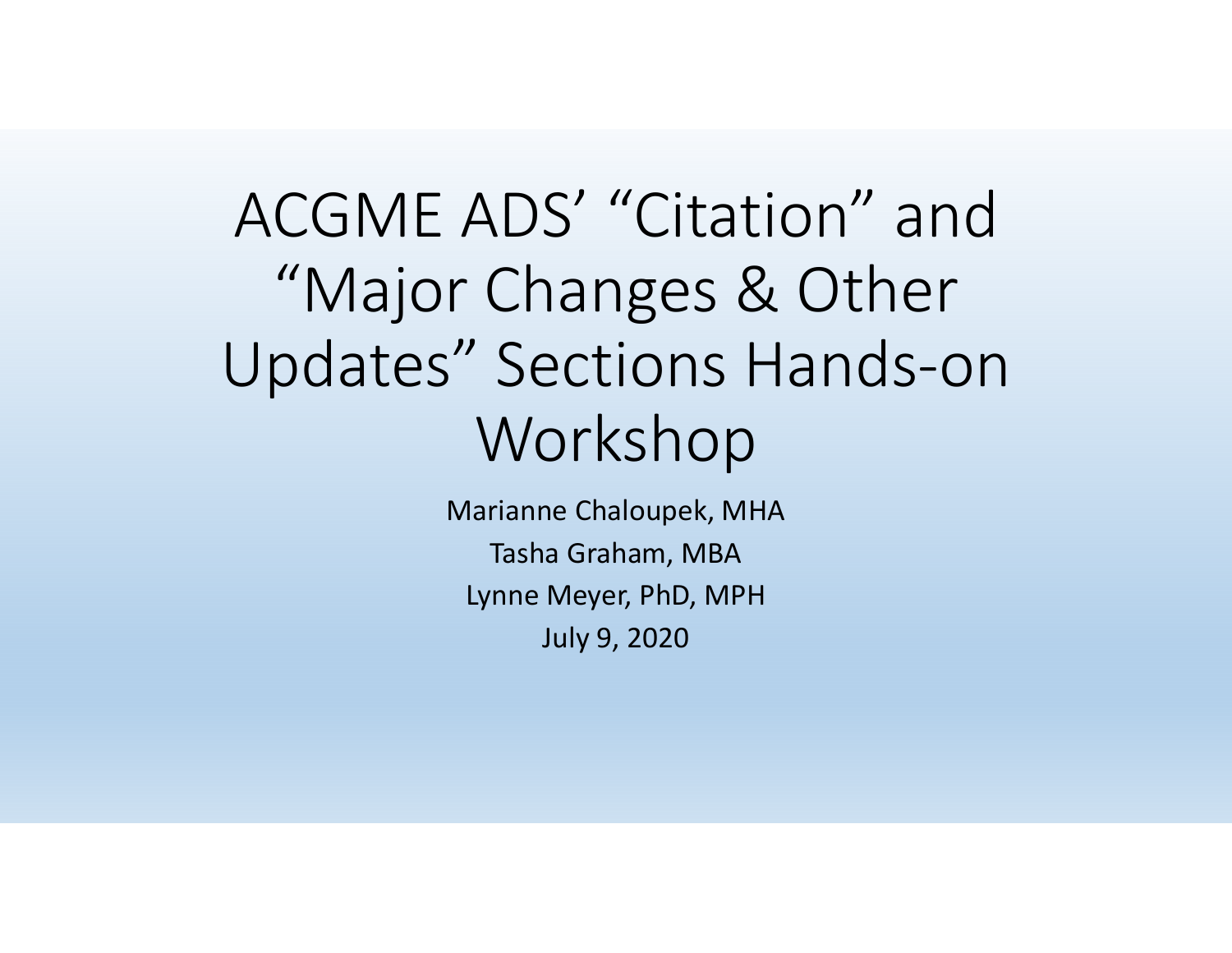# ACGME ADS' "Citation" and"Major Changes & Other Updates" Sections Hands‐on Workshop

Marianne Chaloupek, MHA Tasha Graham, MBA Lynne Meyer, PhD, MPH July 9, 2020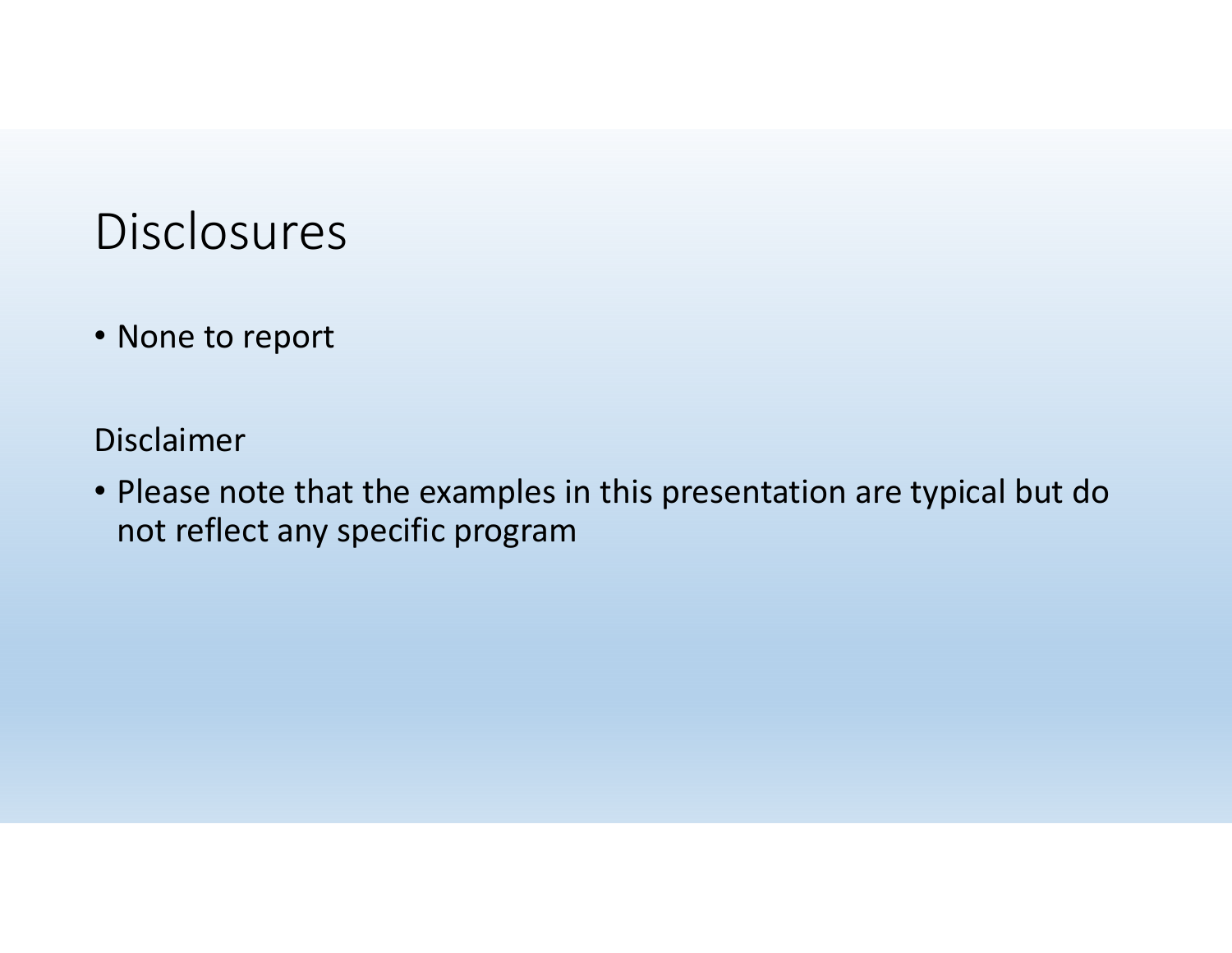#### Disclosures

• None to report

Disclaimer

• Please note that the examples in this presentation are typical but do not reflect any specific program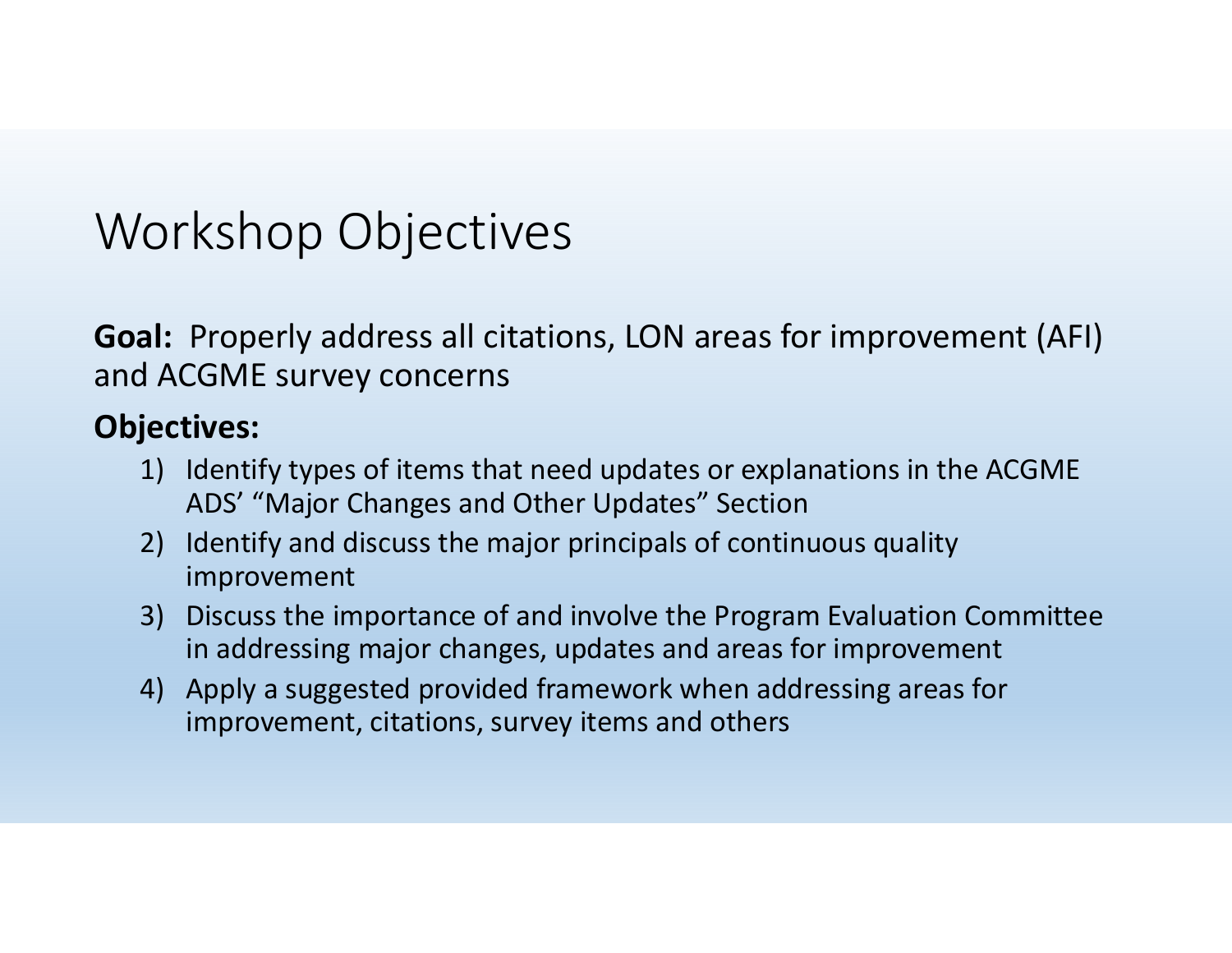#### Workshop Objectives

**Goal:** Properly address all citations, LON areas for improvement (AFI) and ACGME survey concerns

#### **Objectives:**

- 1) Identify types of items that need updates or explanations in the ACGME ADS' "Major Changes and Other Updates" Section
- 2) Identify and discuss the major principals of continuous quality improvement
- 3) Discuss the importance of and involve the Program Evaluation Committee in addressing major changes, updates and areas for improvement
- 4) Apply <sup>a</sup> suggested provided framework when addressing areas for improvement, citations, survey items and others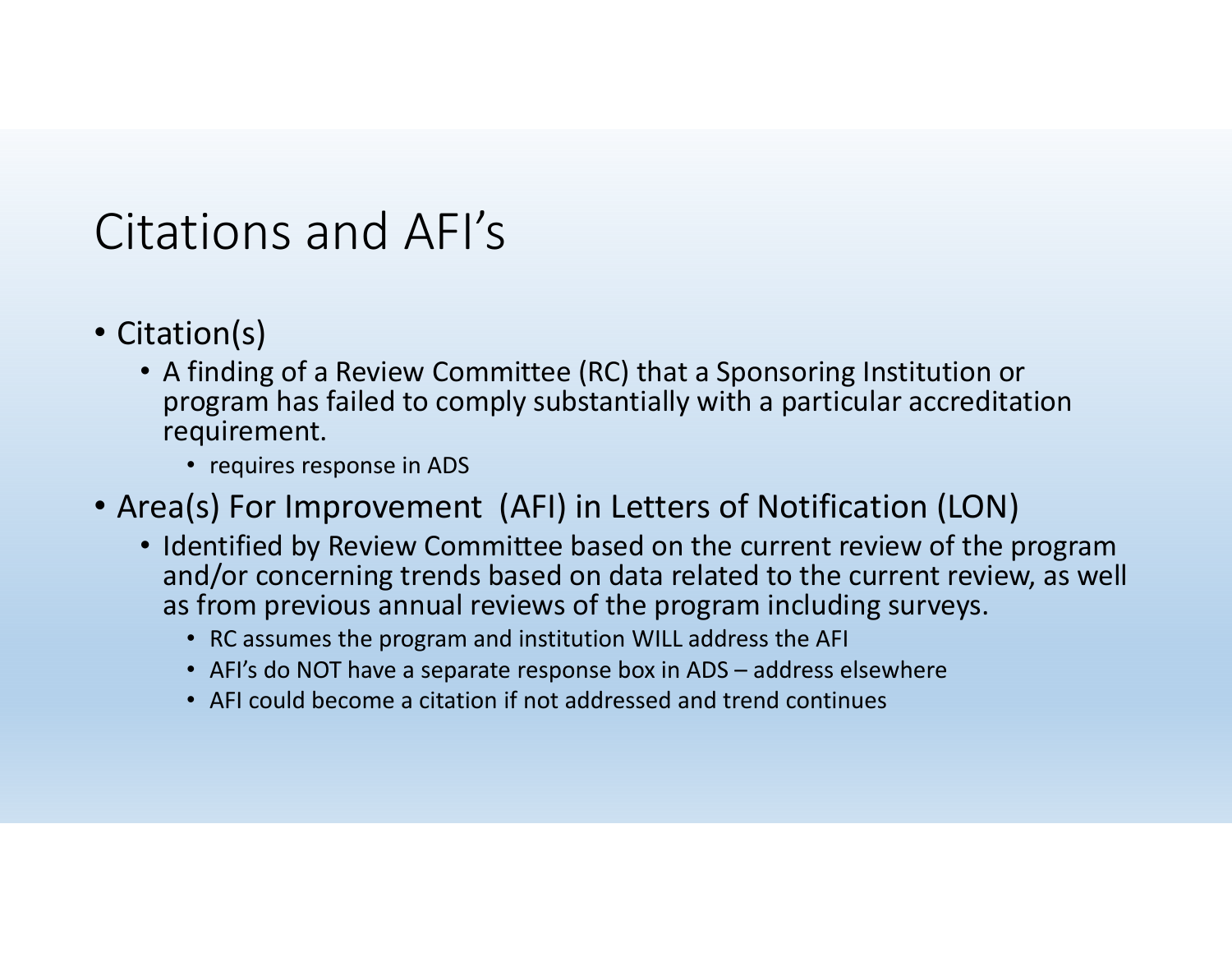### Citations and AFI's

- Citation(s)
	- A finding of <sup>a</sup> Review Committee (RC) that <sup>a</sup> Sponsoring Institution or program has failed to comply substantially with <sup>a</sup> particular accreditation requirement.
		- requires response in ADS
- Area(s) For Improvement (AFI) in Letters of Notification (LON)
	- Identified by Review Committee based on the current review of the program and/or concerning trends based on data related to the current review, as well as from previous annual reviews of the program including surveys.
		- RC assumes the program and institution WILL address the AFI
		- AFI's do NOT have <sup>a</sup> separate response box in ADS address elsewhere
		- AFI could become <sup>a</sup> citation if not addressed and trend continues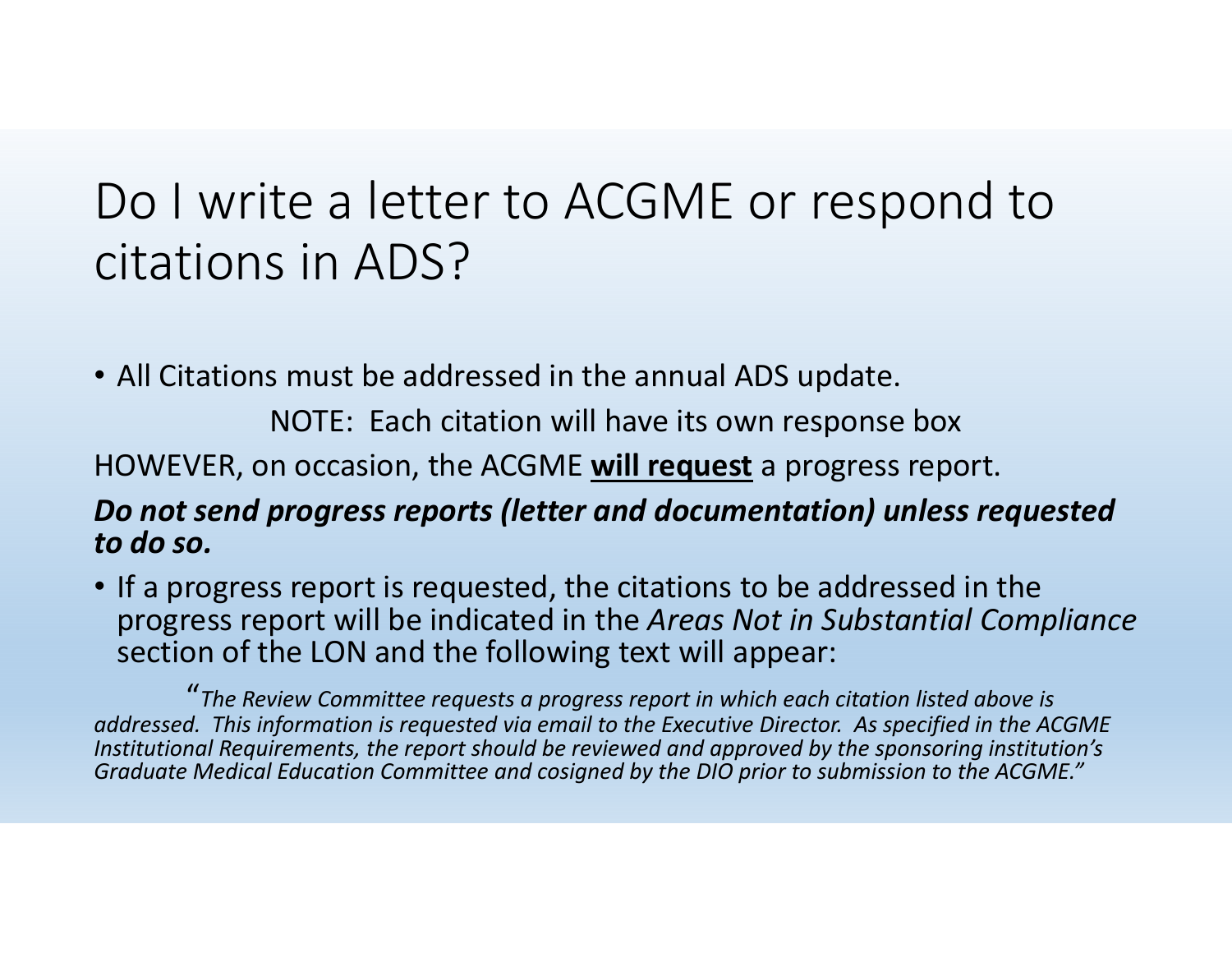## Do I write <sup>a</sup> letter to ACGME or respond to citations in ADS?

• All Citations must be addressed in the annual ADS update.

NOTE: Each citation will have its own response box

HOWEVER, on occasion, the ACGME **will request** <sup>a</sup> progress report.

#### *Do not send progress reports (letter and documentation) unless requested to do so.*

• If <sup>a</sup> progress report is requested, the citations to be addressed in the progress report will be indicated in the *Areas Not in Substantial Compliance* section of the LON and the following text will appear:

"*The Review Committee requests <sup>a</sup> progress report in which each citation listed above is addressed. This information is requested via email to the Executive Director. As specified in the ACGME Institutional Requirements, the report should be reviewed and approved by the sponsoring institution's Graduate Medical Education Committee and cosigned by the DIO prior to submission to the ACGME."*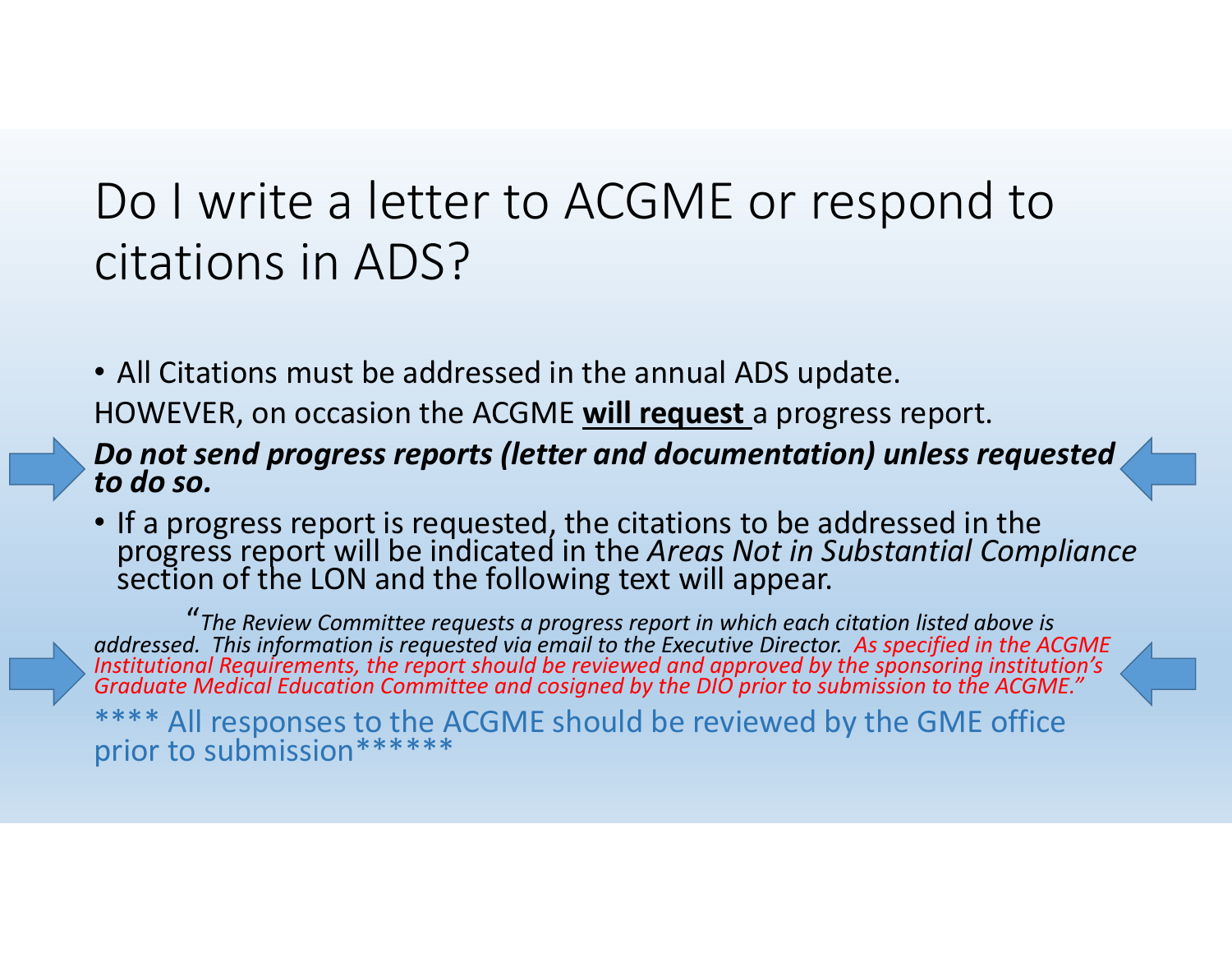## Do I write <sup>a</sup> letter to ACGME or respond to citations in ADS?

• All Citations must be addressed in the annual ADS update.

HOWEVER, on occasion the ACGME **will request** <sup>a</sup> progress report.

#### *Do not send progress reports (letter and documentation) unless requested to do so.*

• If <sup>a</sup> progress report is requested, the citations to be addressed in the progress report will be indicated in the *Areas Not in Substantial Compliance* section of the LON and the following text will appear.

"*The Review Committee requests <sup>a</sup> progress report in which each citation listed above is* addressed. This information is requested via email to the Executive Director. As specified in the ACGME<br>Institutional Reauirements, the report should be reviewed and approved by the sponsorina institution's Institutional Requirements, the report should be reviewed and approved by the sponsoring institution's<br>Graduate Medical Education Committee and cosigned by the DIO prior to submission to the ACGME."

\*\*\*\* All responses to the ACGME should be reviewed by the GME office prior to submission\*\*\*\*\*\*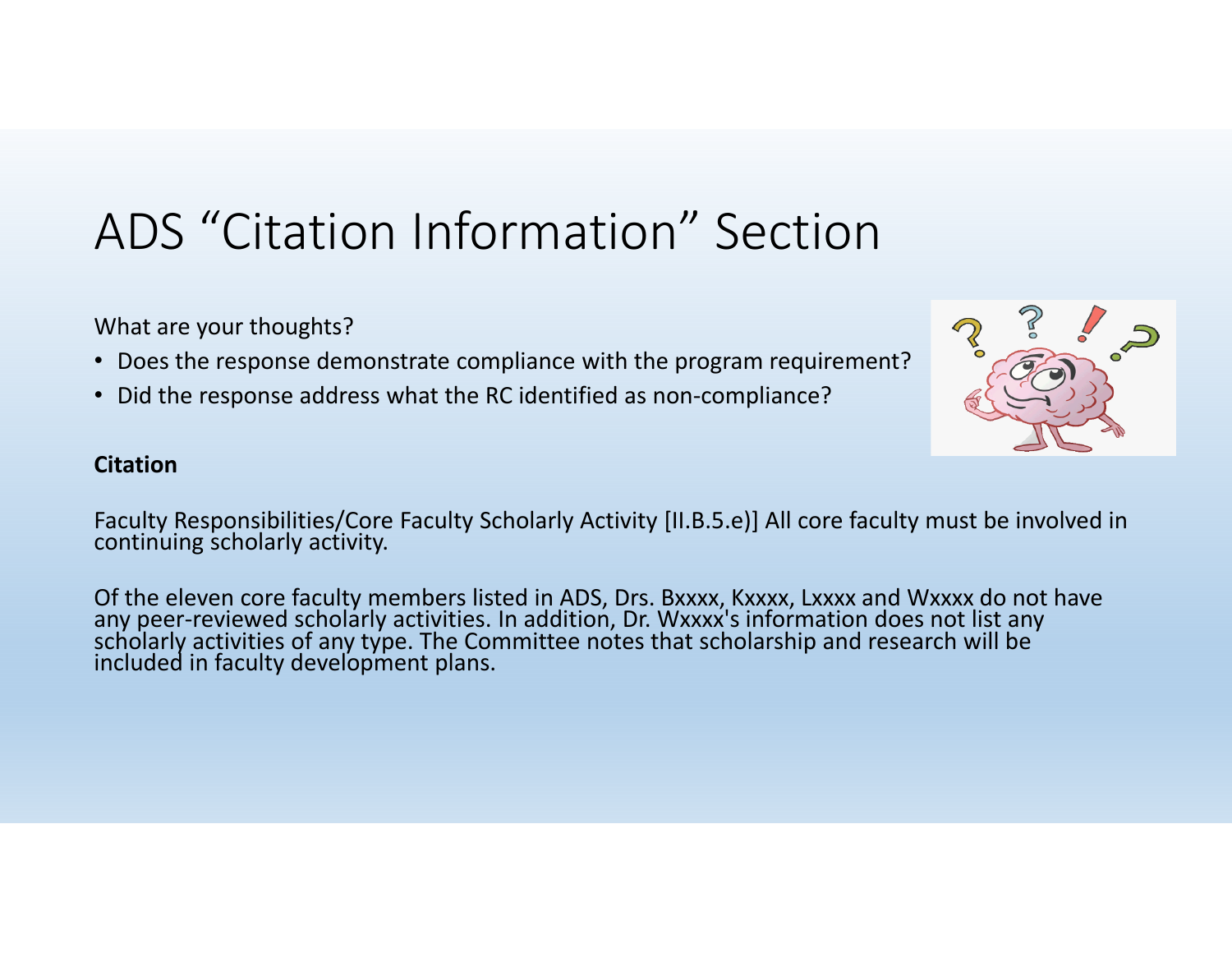## ADS "Citation Information" Section

What are your thoughts?

- Does the response demonstrate compliance with the program requirement?
- Did the response address what the RC identified as non-compliance?

#### **Citation**

Faculty Responsibilities/Core Faculty Scholarly Activity [II.B.5.e)] All core faculty must be involved in continuing scholarly activity.

Of the eleven core faculty members listed in ADS, Drs. Bxxxx, Kxxxx, Lxxxx and Wxxxx do not have any peer-reviewed scholarly activities. In addition, Dr. Wxxxx's information does not list any scholarly activities of any type. The Committee notes that scholarship and research will be included in faculty development plans.

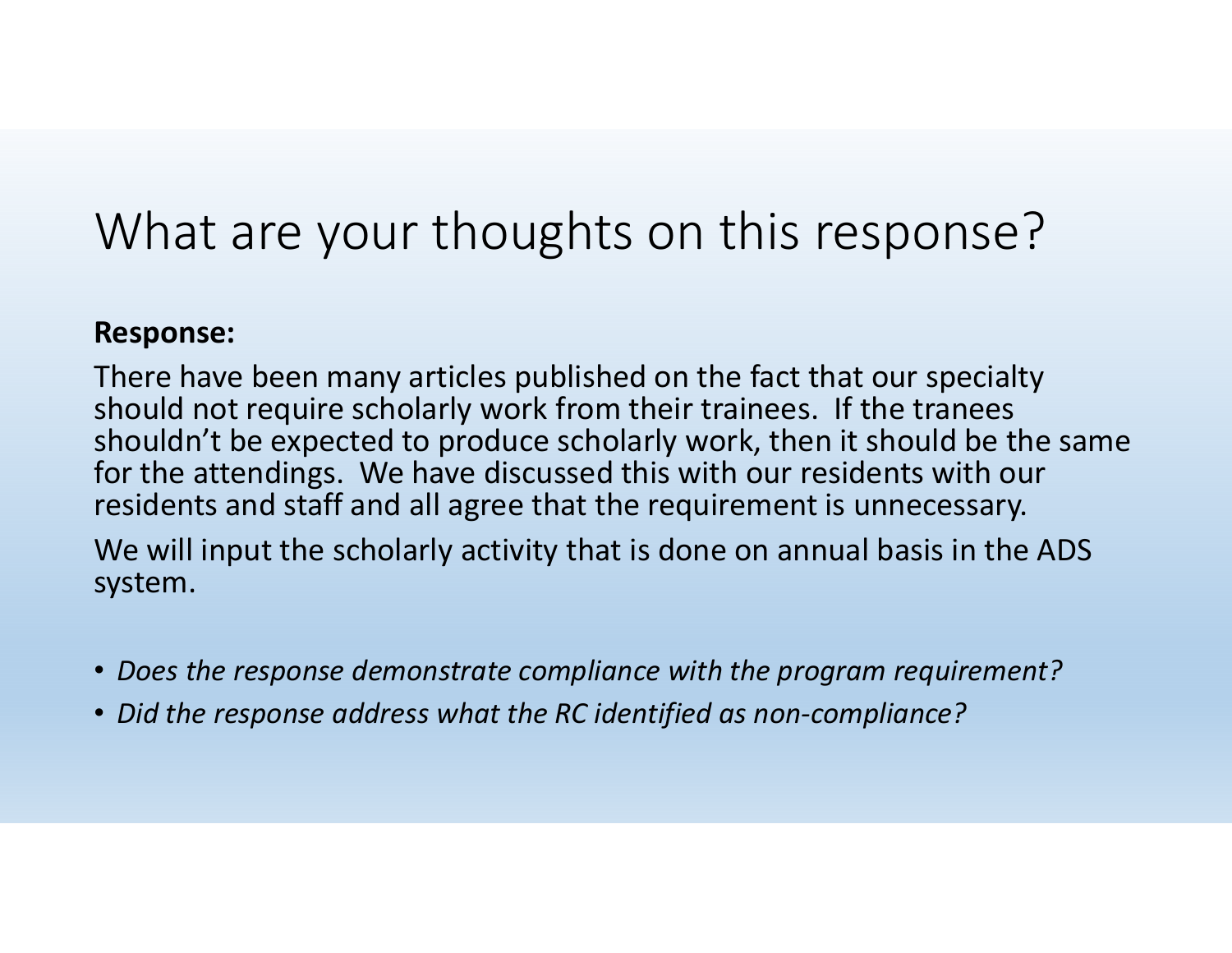## What are your thoughts on this response?

#### **Response:**

There have been many articles published on the fact that our specialty should not require scholarly work from their trainees. If the tranees shouldn't be expected to produce scholarly work, then it should be the same for the attendings. We have discussed this with our residents with our residents and staff and all agree that the requirement is unnecessary.

We will input the scholarly activity that is done on annual basis in the ADS system.

- *Does the response demonstrate compliance with the program requirement?*
- *Did the response address what the RC identified as non‐compliance?*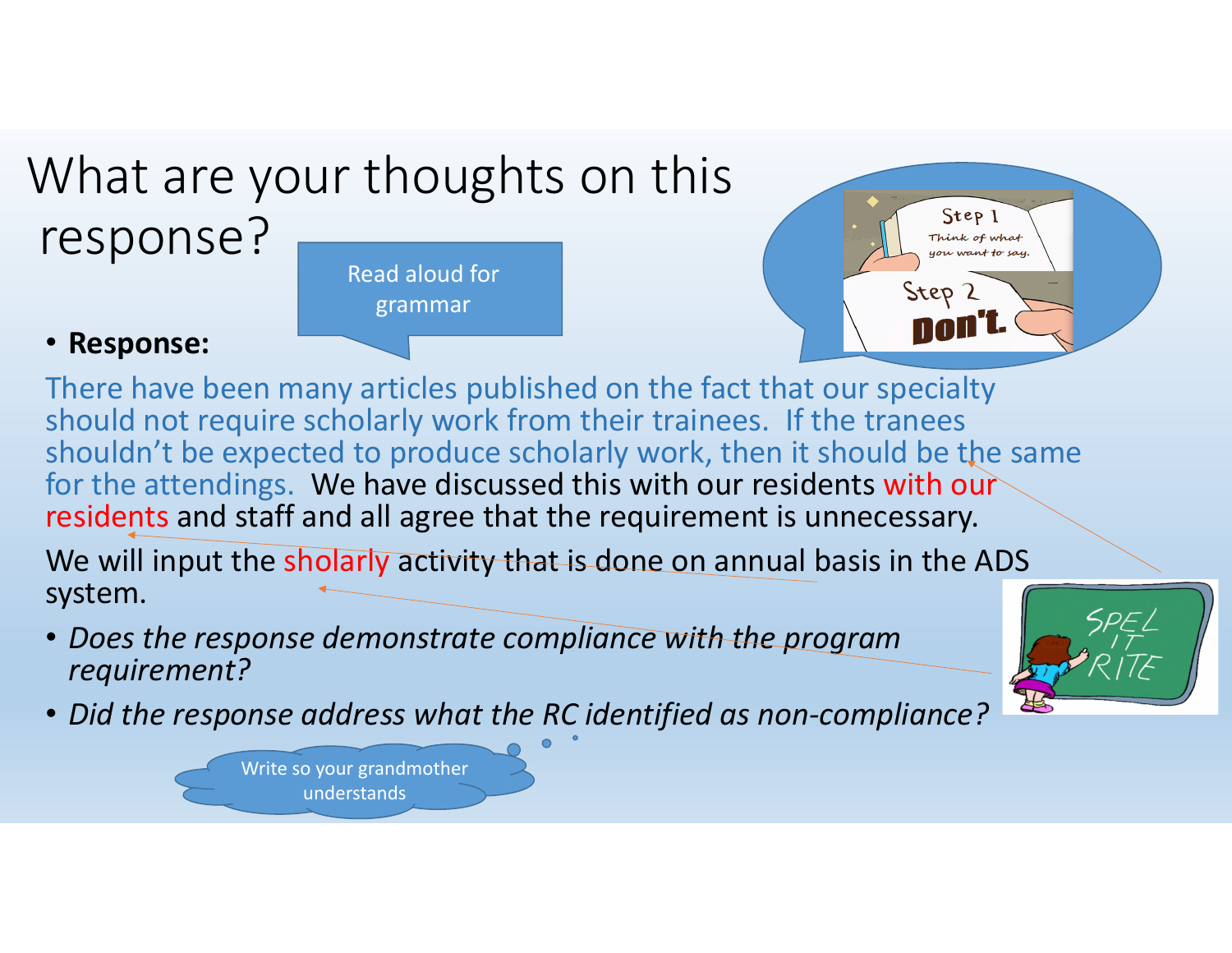#### What are your thoughts on this response? Read aloud for

grammar

#### $Step 1$ Think of what you want to say. Step 2 nofi'i

#### • **Response:**

There have been many articles published on the fact that our specialty should not require scholarly work from their trainees. If the tranees shouldn't be expected to produce scholarly work, then it should be the same for the attendings. We have discussed this with our residents with our residents and staff and all agree that the requirement is unnecessary.

We will input the sholarly activit<del>y that is done on a</del>nnual basis in the ADS system.

- *Does the response demonstrate compliance with the program requirement?*
- *Did the response address what the RC identified as non‐compliance?*

Write so your grandmother understands

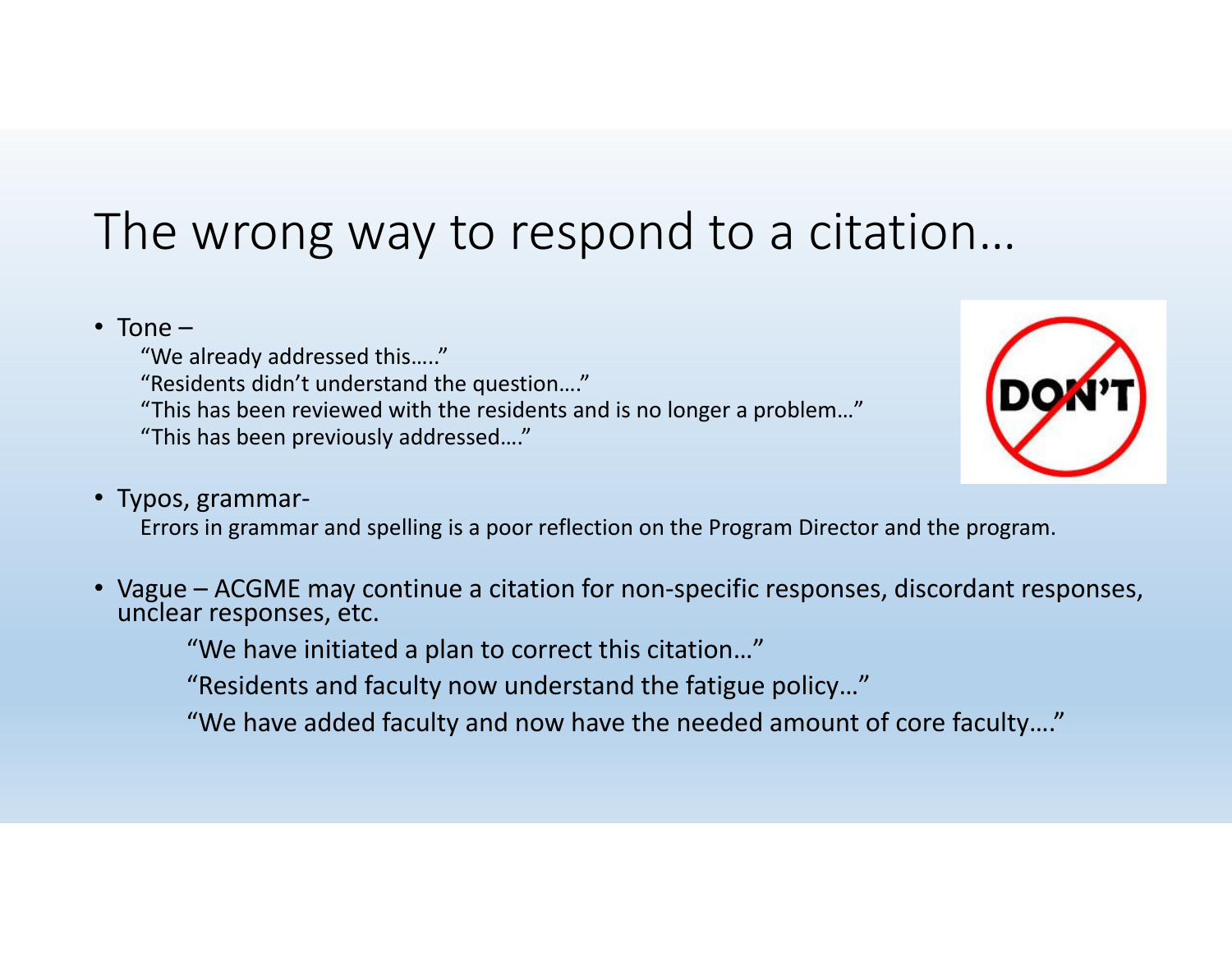### The wrong way to respond to <sup>a</sup> citation…

#### • Tone –

"We already addressed this….."

"Residents didn't understand the question…."

"This has been reviewed with the residents and is no longer <sup>a</sup> problem…"

"This has been previously addressed…."



#### •Typos, grammar‐

Errors in grammar and spelling is <sup>a</sup> poor reflection on the Program Director and the program.

•Vague – ACGME may continue a citation for non-specific responses, discordant responses, unclear responses, etc.

"We have initiated <sup>a</sup> plan to correct this citation…"

"Residents and faculty now understand the fatigue policy…"

"We have added faculty and now have the needed amount of core faculty…."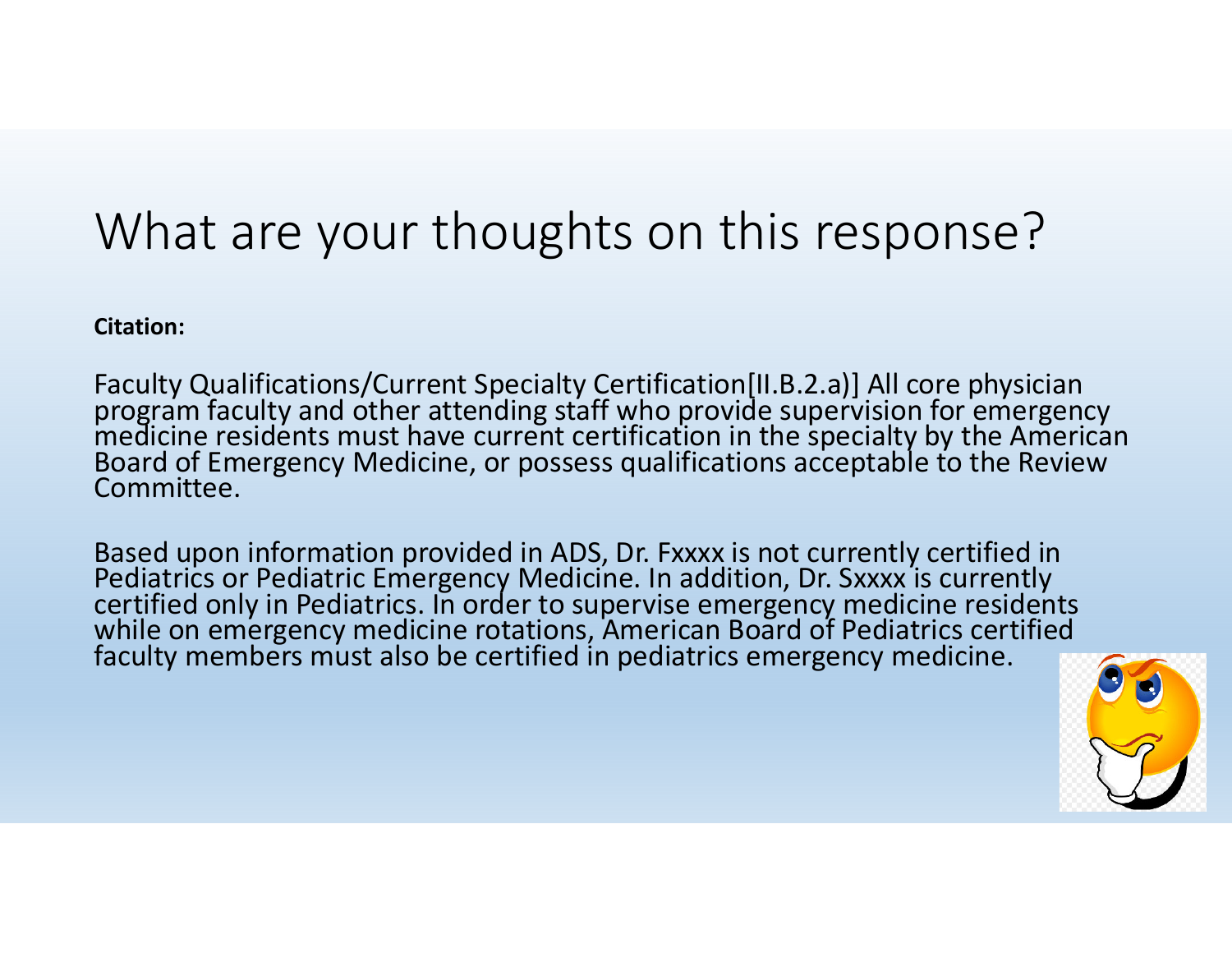## What are your thoughts on this response?

**Citation:**

Faculty Qualifications/Current Specialty Certification[II.B.2.a)] All core physician program faculty and other attending staff who provide supervision for emergency<br>medicine residents must have current certification in the specialty by the American<br>Board of Emergency Medicine, or possess qualifications acc Board of Emergency Medicine, or possess qualifications acceptable to the Review Committee.

Based upon information provided in ADS, Dr. Fxxxx is not currently certified in<br>Pediatrics or Pediatric Emergency Medicine. In addition. Dr. Sxxxx is currently Pediatrics or Pediatric Emergency Medicine. In addition, Dr. Sxxxx is currently<br>certified only in Pediatrics. In order to supervise emergency medicine resider certified only in Pediatrics. In order to supervise emergency medicine residents while on emergency medicine rotations, American Board of Pediatrics certified faculty members must also be certified in pediatrics emergency medicine.

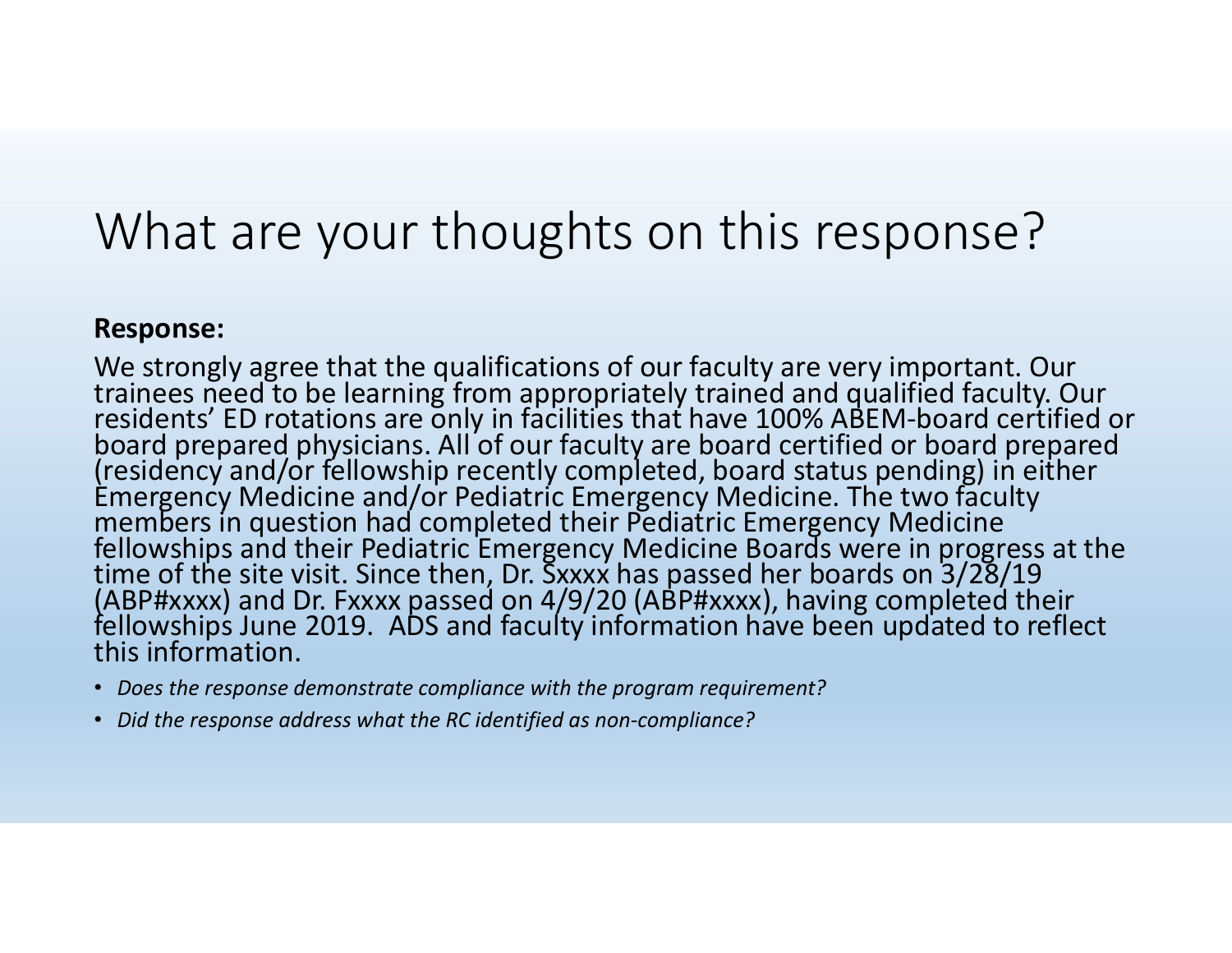### What are your thoughts on this response?

#### **Response:**

We strongly agree that the qualifications of our faculty are very important. Our trainees need to be learning from appropriately trained and qualified faculty. Our<br>residents' ED rotations are only in facilities that have 100% ABEM-board certified or boardboard prepared physicians. All of our faculty are board certified or board prepared<br>(residency and/or fellowship recently completed, board status pending) in either Èmergency Medicine and/or Pediatric Emergency Medicine. The two faculty<br>members in question had completed their Pediatric Emergency Medicine members in question had completed their Pediatric Emergency Medicine fellowships and their Pediatric Emergency Medicine Boards were in progress at the time of the site visit. Since then, Dr. Sxxxx has passed her boards on 3/28/19 (ABP#xxxx) and Dr. Fxxxx passed on 4/9/20 (ABP#xxxx), having completed their<br>fellowships June 2019. ADS and faculty information have been updated to reflect this information.

- *Does the response demonstrate compliance with the program requirement?*
- *Did the response address what the RC identified as non‐compliance?*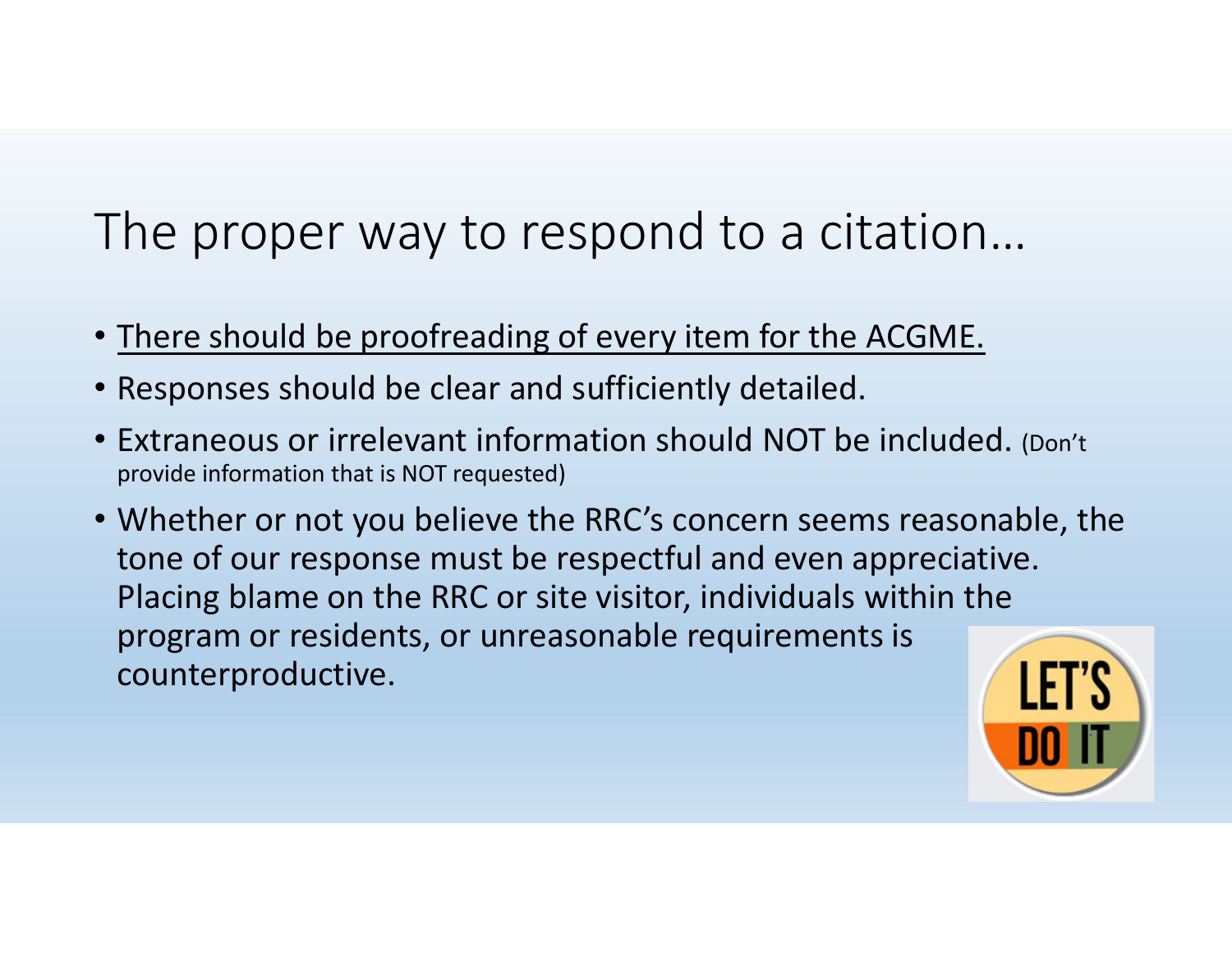## The proper way to respond to <sup>a</sup> citation…

- There should be proofreading of every item for the ACGME.
- Responses should be clear and sufficiently detailed.
- Extraneous or irrelevant information should NOT be included. (Don't provide information that is NOT requested)
- Whether or not you believe the RRC's concern seems reasonable, the tone of our response must be respectful and even appreciative. Placing blame on the RRC or site visitor, individuals within the program or residents, or unreasonable requirements is counterproductive.

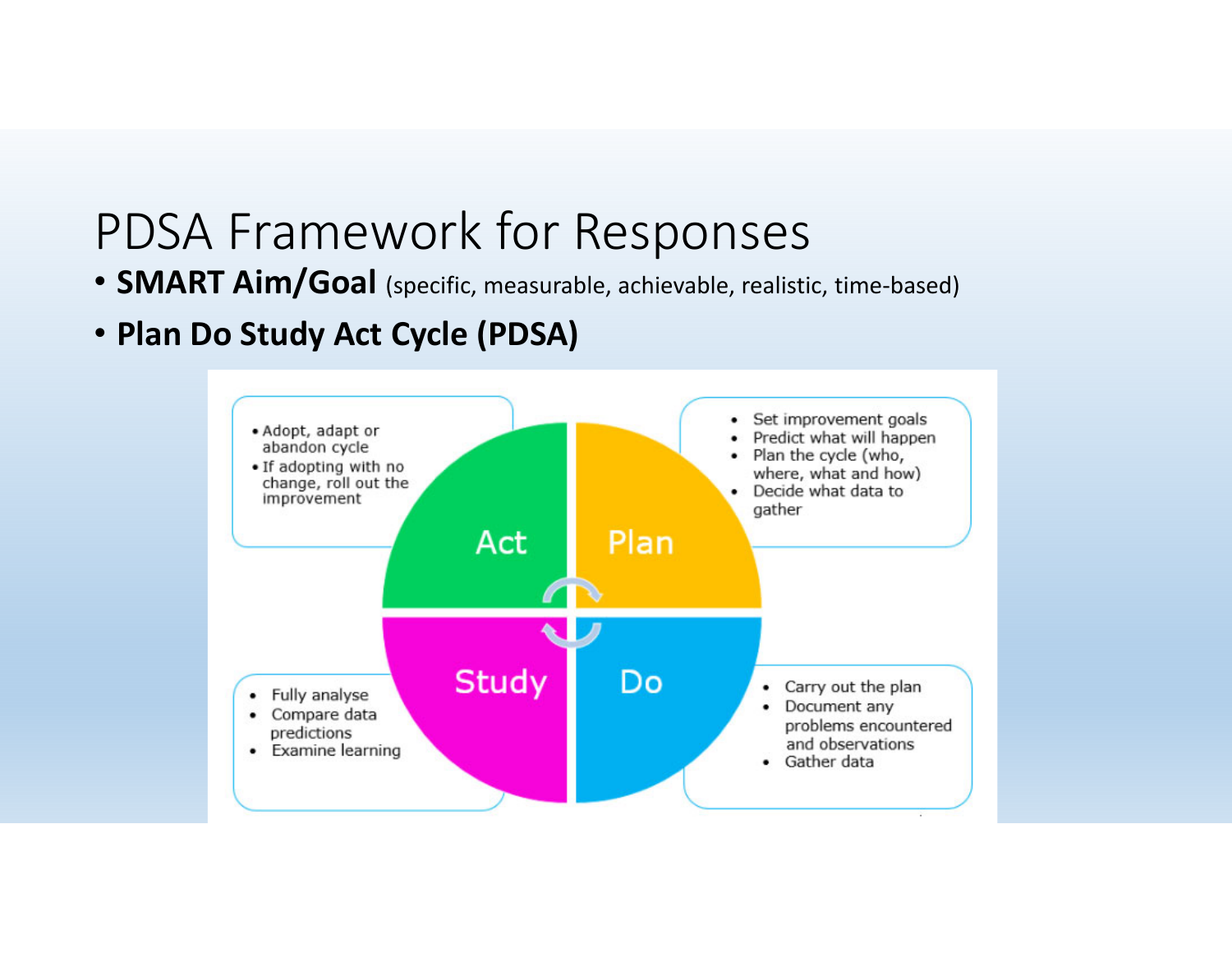#### PDSA Framework for Responses

- **SMART Aim/Goal** (specific, measurable, achievable, realistic, time‐based)
- **Plan Do Study Act Cycle (PDSA)**

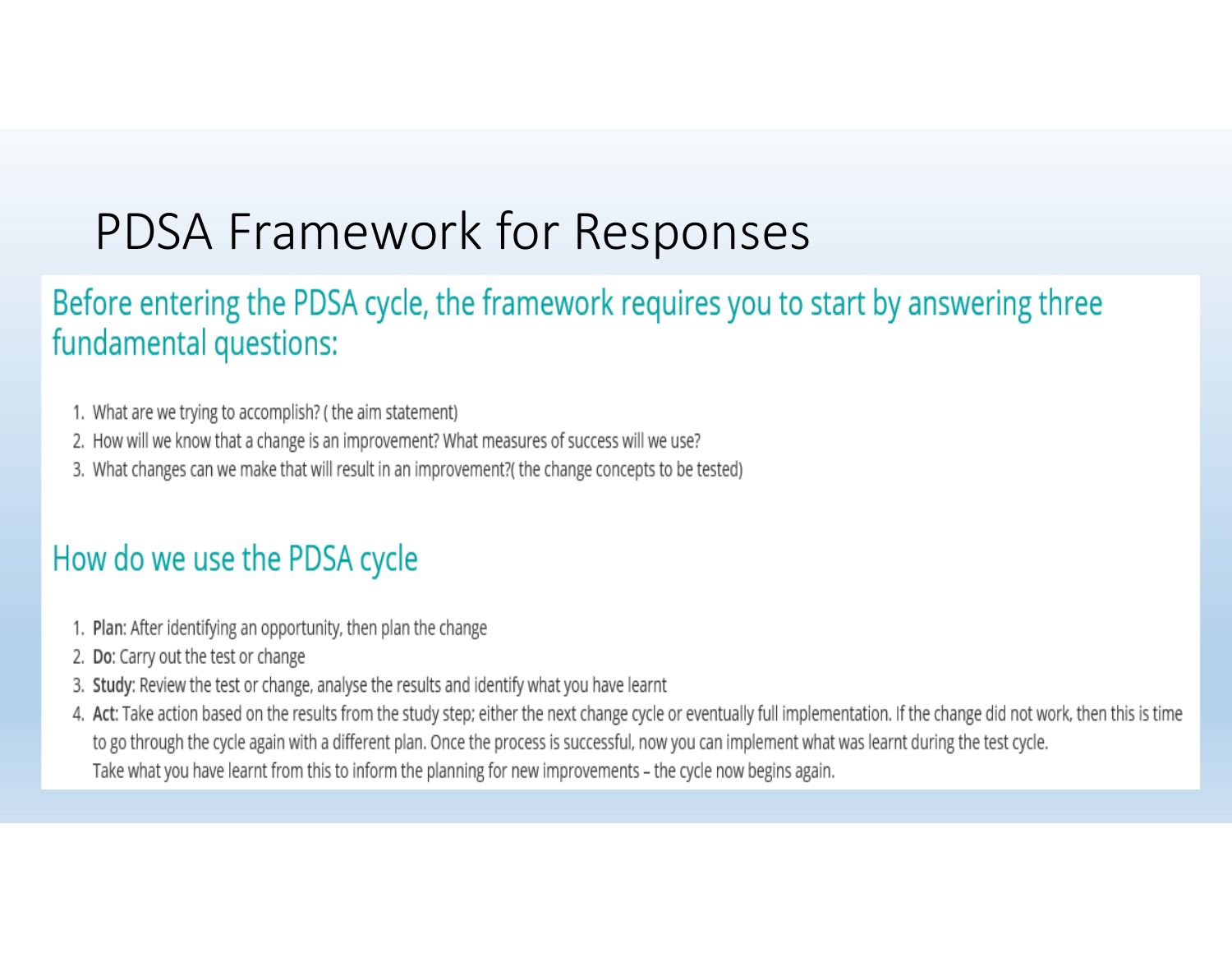## PDSA Framework for Responses

#### Before entering the PDSA cycle, the framework requires you to start by answering three fundamental questions:

- 1. What are we trying to accomplish? (the aim statement)
- 2. How will we know that a change is an improvement? What measures of success will we use?
- 3. What changes can we make that will result in an improvement? (the change concepts to be tested)

#### How do we use the PDSA cycle

- 1. Plan: After identifying an opportunity, then plan the change
- 2. Do: Carry out the test or change
- 3. Study: Review the test or change, analyse the results and identify what you have learnt
- 4. Act: Take action based on the results from the study step; either the next change cycle or eventually full implementation. If the change did not work, then this is time to go through the cycle again with a different plan. Once the process is successful, now you can implement what was learnt during the test cycle. Take what you have learnt from this to inform the planning for new improvements - the cycle now begins again.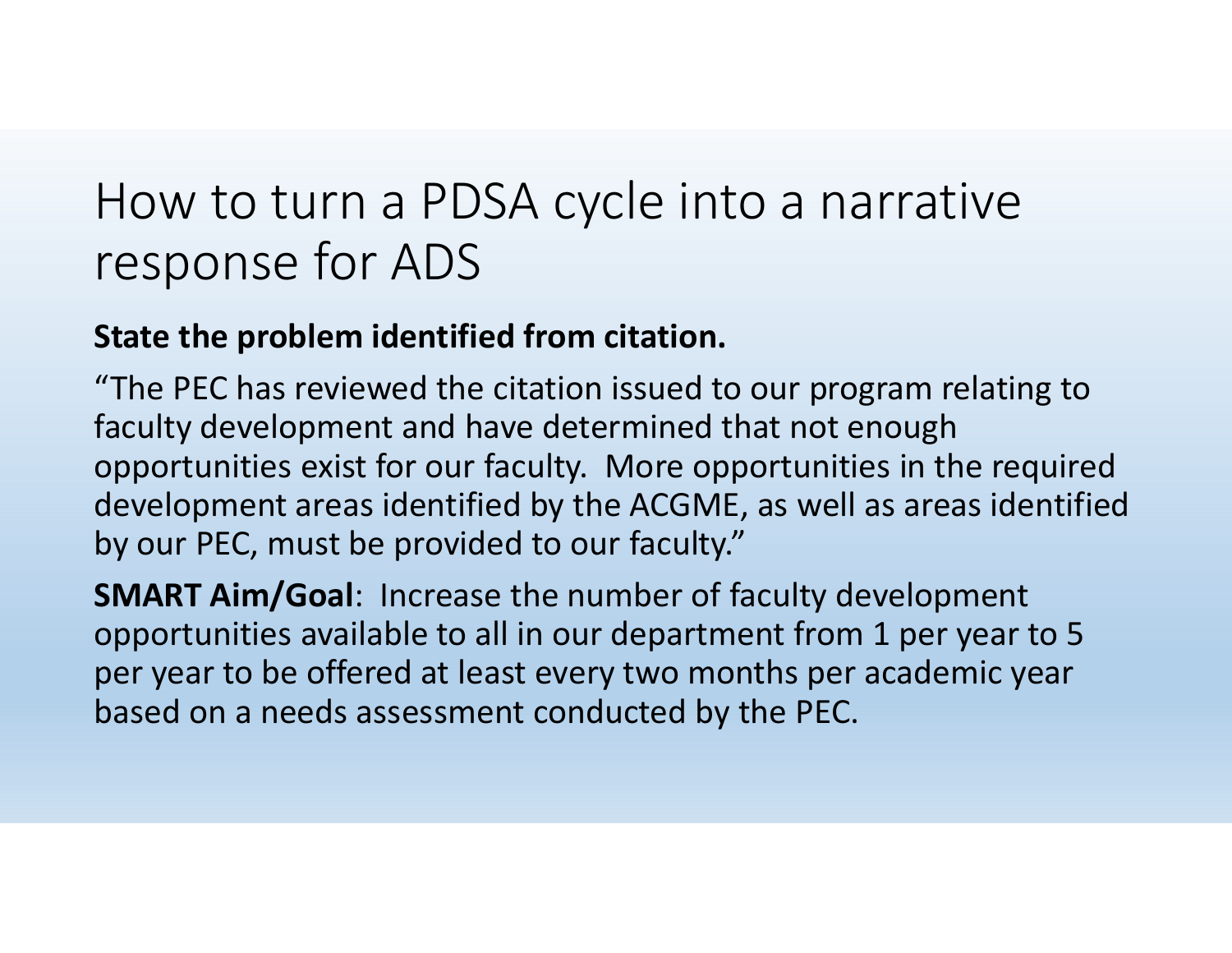#### **State the problem identified from citation.**

"The PEC has reviewed the citation issued to our program relating to faculty development and have determined that not enough opportunities exist for our faculty. More opportunities in the required development areas identified by the ACGME, as well as areas identified by our PEC, must be provided to our faculty."

**SMART Aim/Goal**: Increase the number of faculty development opportunities available to all in our department from 1 per year to 5 per year to be offered at least every two months per academic year based on <sup>a</sup> needs assessment conducted by the PEC.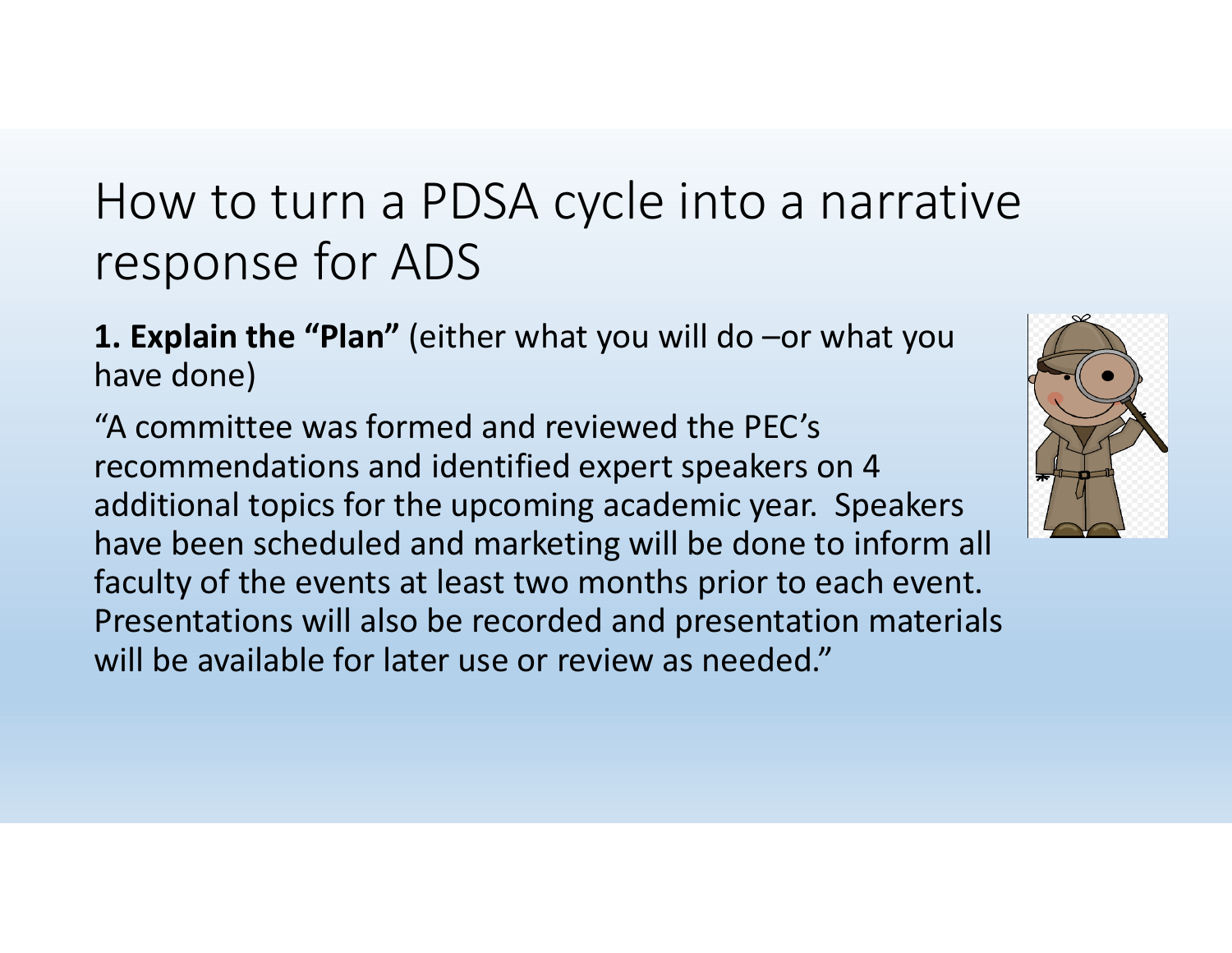**1. Explain the "Plan"** (either what you will do –or what you have done)

"A committee was formed and reviewed the PEC's recommendations and identified expert speakers on 4 additional topics for the upcoming academic year. Speakers have been scheduled and marketing will be done to inform all faculty of the events at least two months prior to each event. Presentations will also be recorded and presentation materials will be available for later use or review as needed."

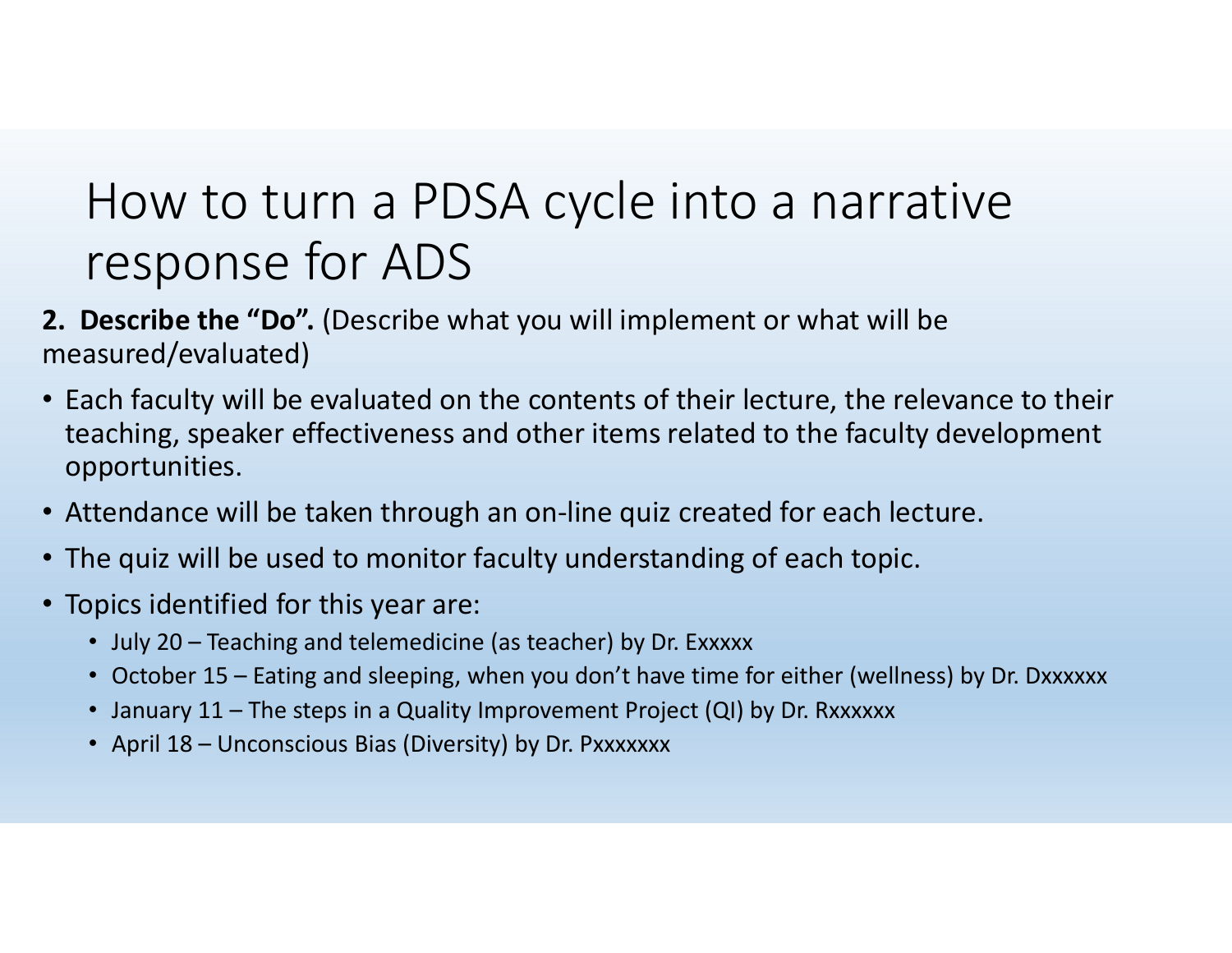- **2. Describe the "Do".** (Describe what you will implement or what will be measured/evaluated)
- Each faculty will be evaluated on the contents of their lecture, the relevance to their teaching, speaker effectiveness and other items related to the faculty development opportunities.
- Attendance will be taken through an on‐line quiz created for each lecture.
- The quiz will be used to monitor faculty understanding of each topic.
- Topics identified for this year are:
	- July 20 Teaching and telemedicine (as teacher) by Dr. Exxxxx
	- October 15 Eating and sleeping, when you don't have time for either (wellness) by Dr. Dxxxxxx
	- January 11 The steps in a Quality Improvement Project (QI) by Dr. Rxxxxxx
	- April 18 Unconscious Bias (Diversity) by Dr. Pxxxxxxx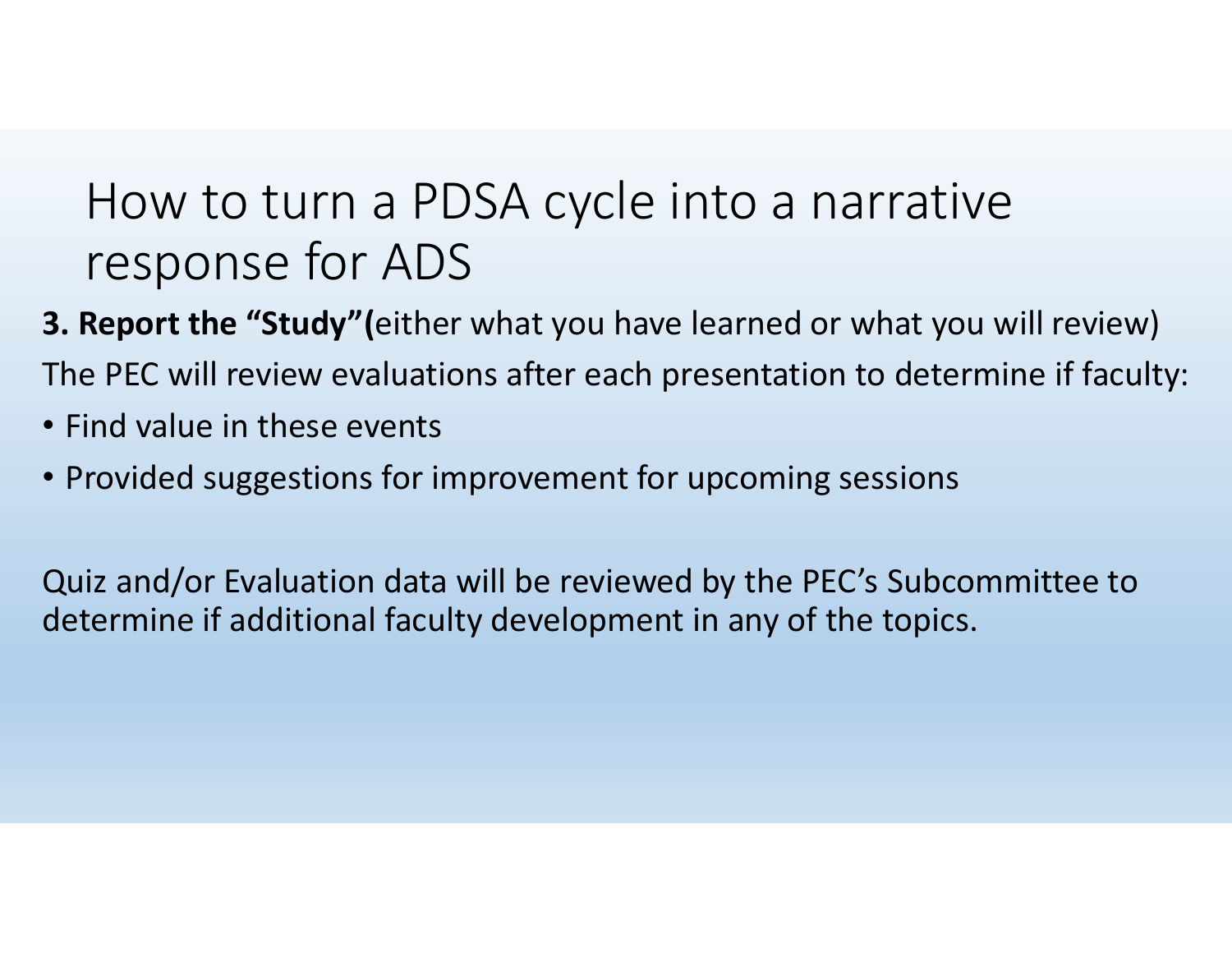- **3. Report the "Study"(**either what you have learned or what you will review) The PEC will review evaluations after each presentation to determine if faculty:
- Find value in these events
- Provided suggestions for improvement for upcoming sessions

Quiz and/or Evaluation data will be reviewed by the PEC's Subcommittee to determine if additional faculty development in any of the topics.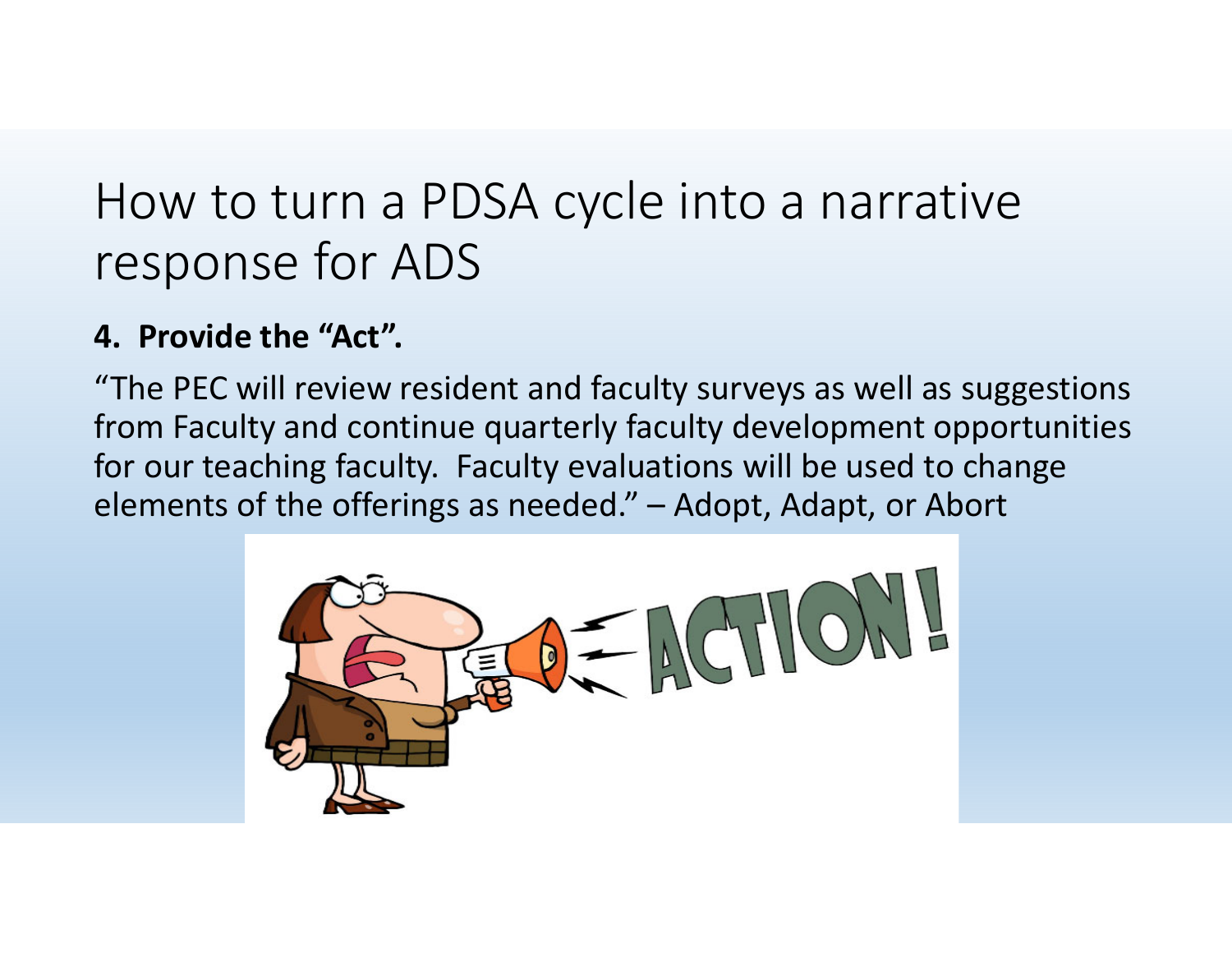#### **4. Provide the "Act".**

"The PEC will review resident and faculty surveys as well as suggestions from Faculty and continue quarterly faculty development opportunities for our teaching faculty. Faculty evaluations will be used to change elements of the offerings as needed." – Adopt, Adapt, or Abort

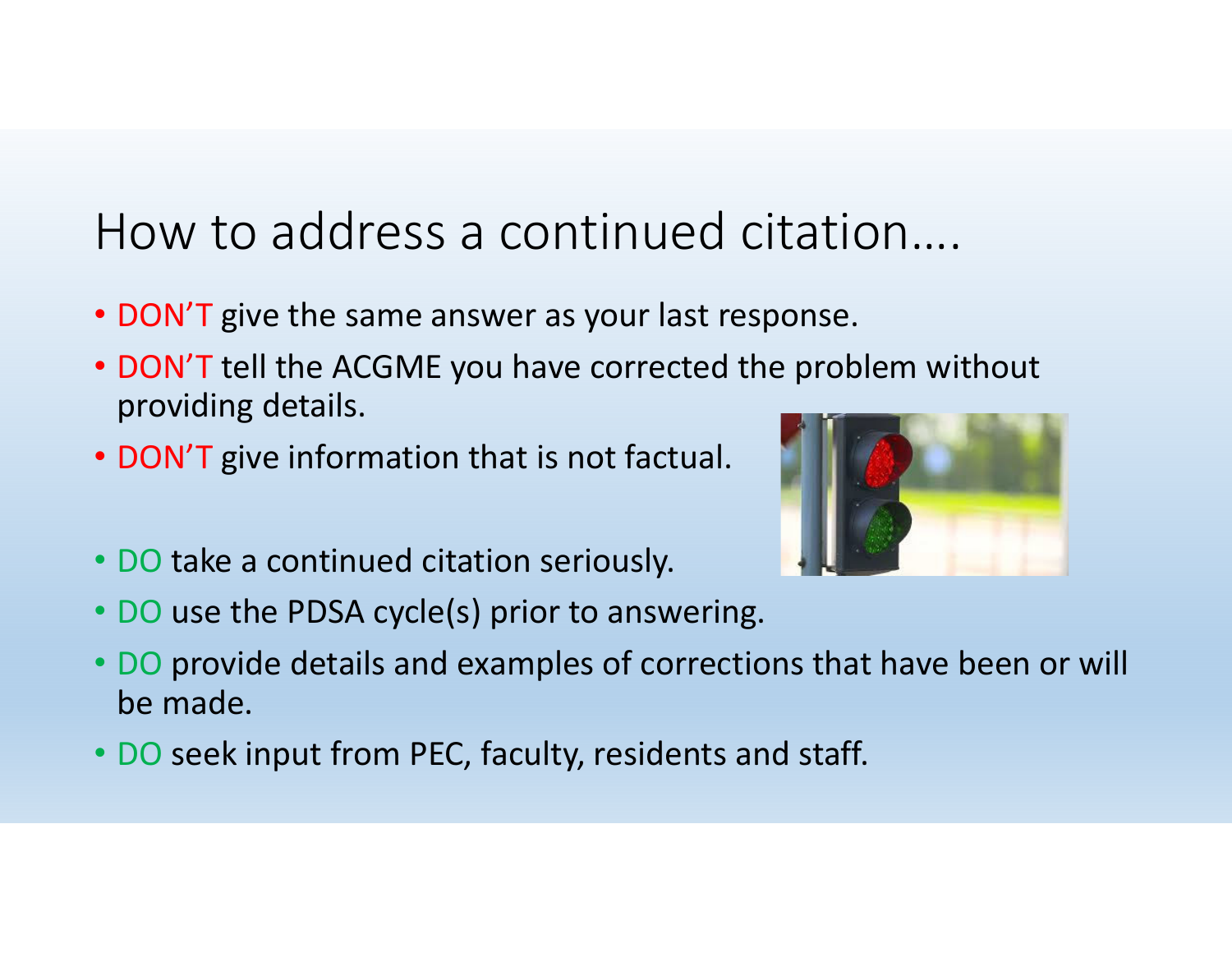#### How to address <sup>a</sup> continued citation….

- DON'T give the same answer as your last response.
- DON'T tell the ACGME you have corrected the problem without providing details.
- DON'T give information that is not factual.



- DO take <sup>a</sup> continued citation seriously.
- DO use the PDSA cycle(s) prior to answering.
- DO provide details and examples of corrections that have been or will be made.
- DO seek input from PEC, faculty, residents and staff.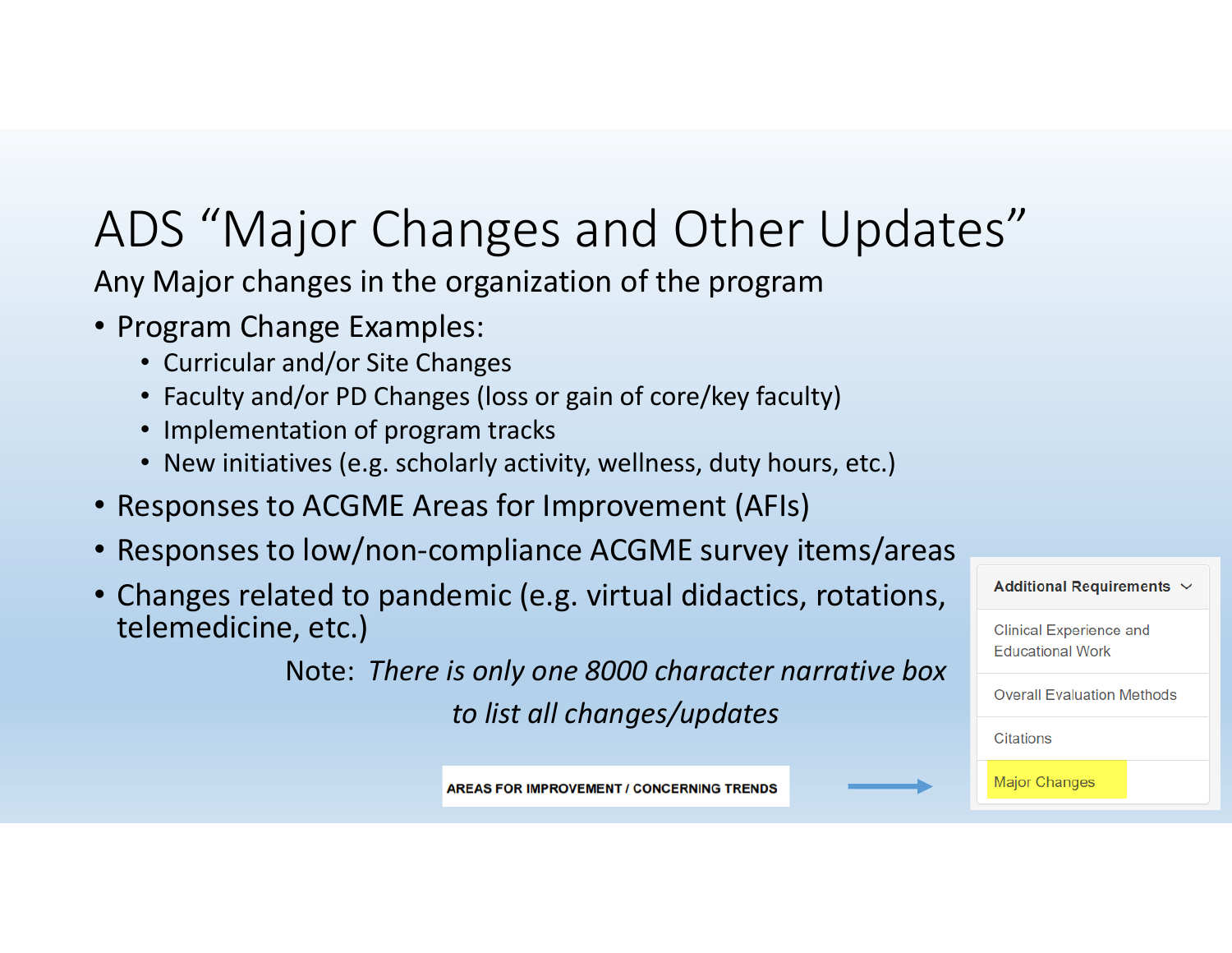## ADS "Major Changes and Other Updates"

Any Major changes in the organization of the program

- Program Change Examples:
	- Curricular and/or Site Changes
	- Faculty and/or PD Changes (loss or gain of core/key faculty)
	- Implementation of program tracks
	- New initiatives (e.g. scholarly activity, wellness, duty hours, etc.)
- Responses to ACGME Areas for Improvement (AFIs)
- Responses to low/non‐compliance ACGME survey items/areas
- Changes related to pandemic (e.g. virtual didactics, rotations, telemedicine, etc.)

Note: *There is only one 8000 character narrative box*

*to list all changes/updates*



**AREAS FOR IMPROVEMENT / CONCERNING TRENDS**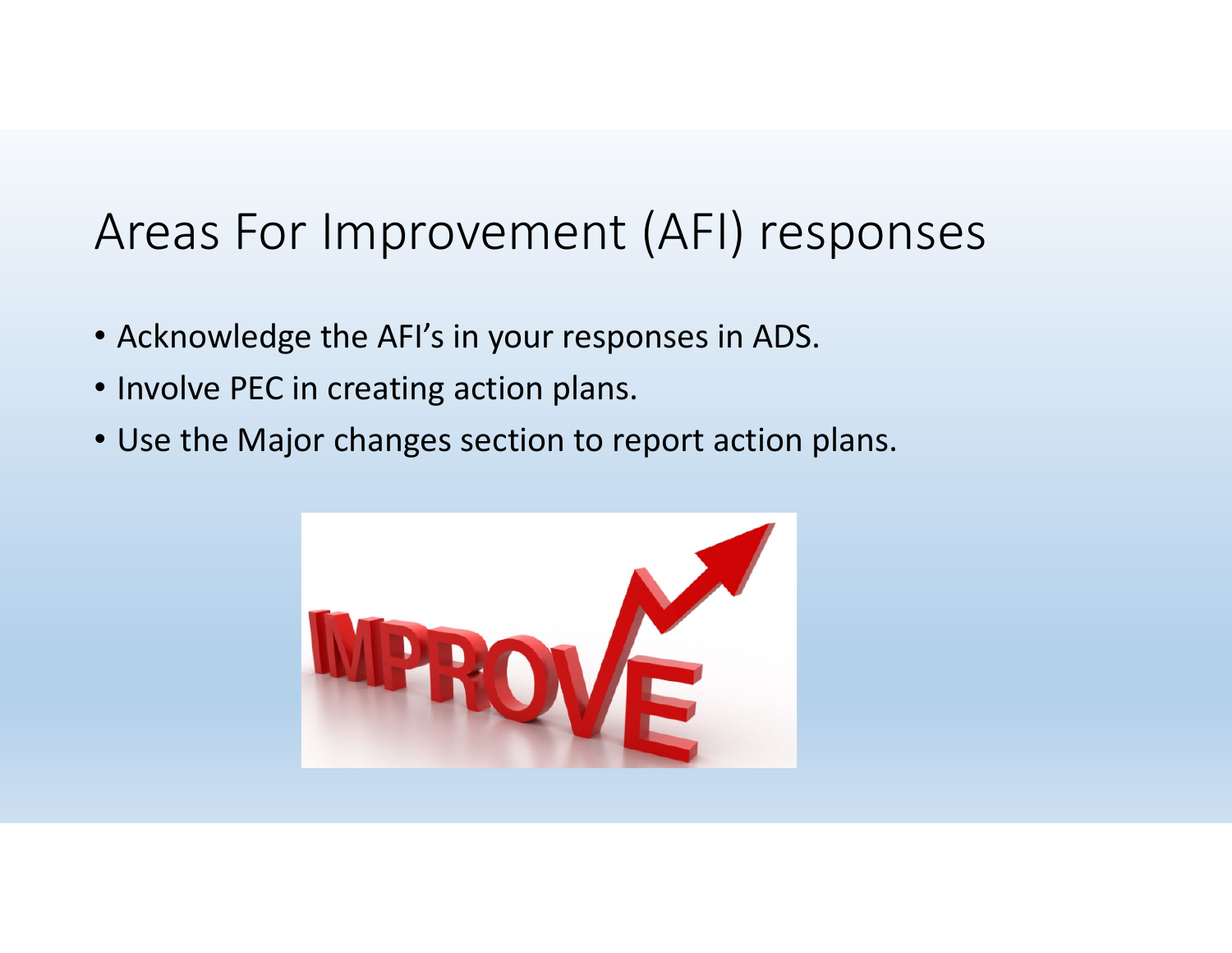#### Areas For Improvement (AFI) responses

- Acknowledge the AFI's in your responses in ADS.
- Involve PEC in creating action plans.
- Use the Major changes section to report action plans.

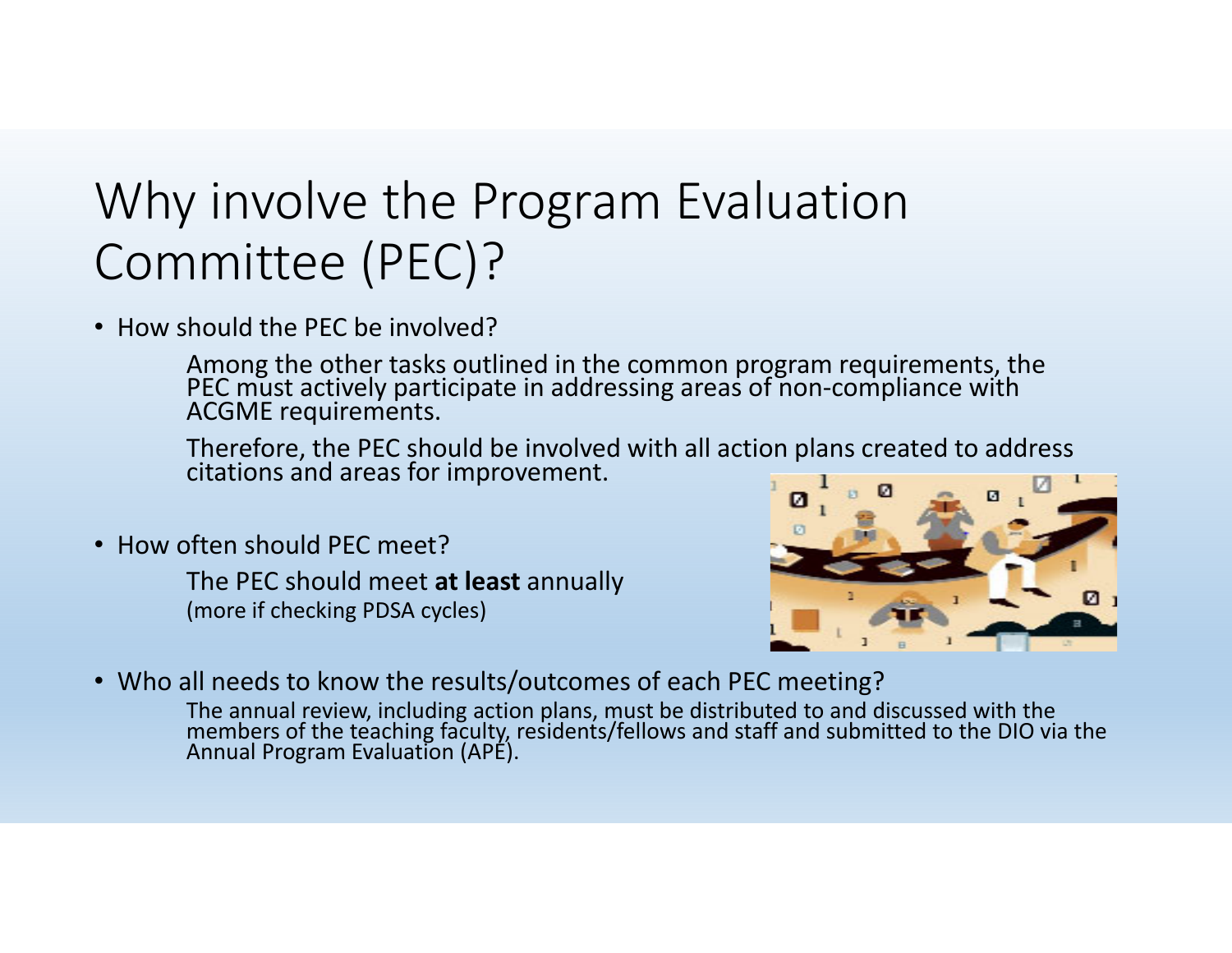## Why involve the Program Evaluation Committee (PEC)?

• How should the PEC be involved?

Among the other tasks outlined in the common program requirements, the PEC must actively participate in addressing areas of non‐compliance with ACGME requirements.

Therefore, the PEC should be involved with all action plans created to address citations and areas for improvement.

• How often should PEC meet?

The PEC should meet **at least** annually (more if checking PDSA cycles)



• Who all needs to know the results/outcomes of each PEC meeting?

The annual review, including action plans, must be distributed to and discussed with the The annual review, including action plans, must be distributed to and discussed with the<br>members of the teaching faculty, residents/fellows and staff and submitted to the DIO via the<br>Annual Program Evaluation (APE). Annual Program Evaluation (APE).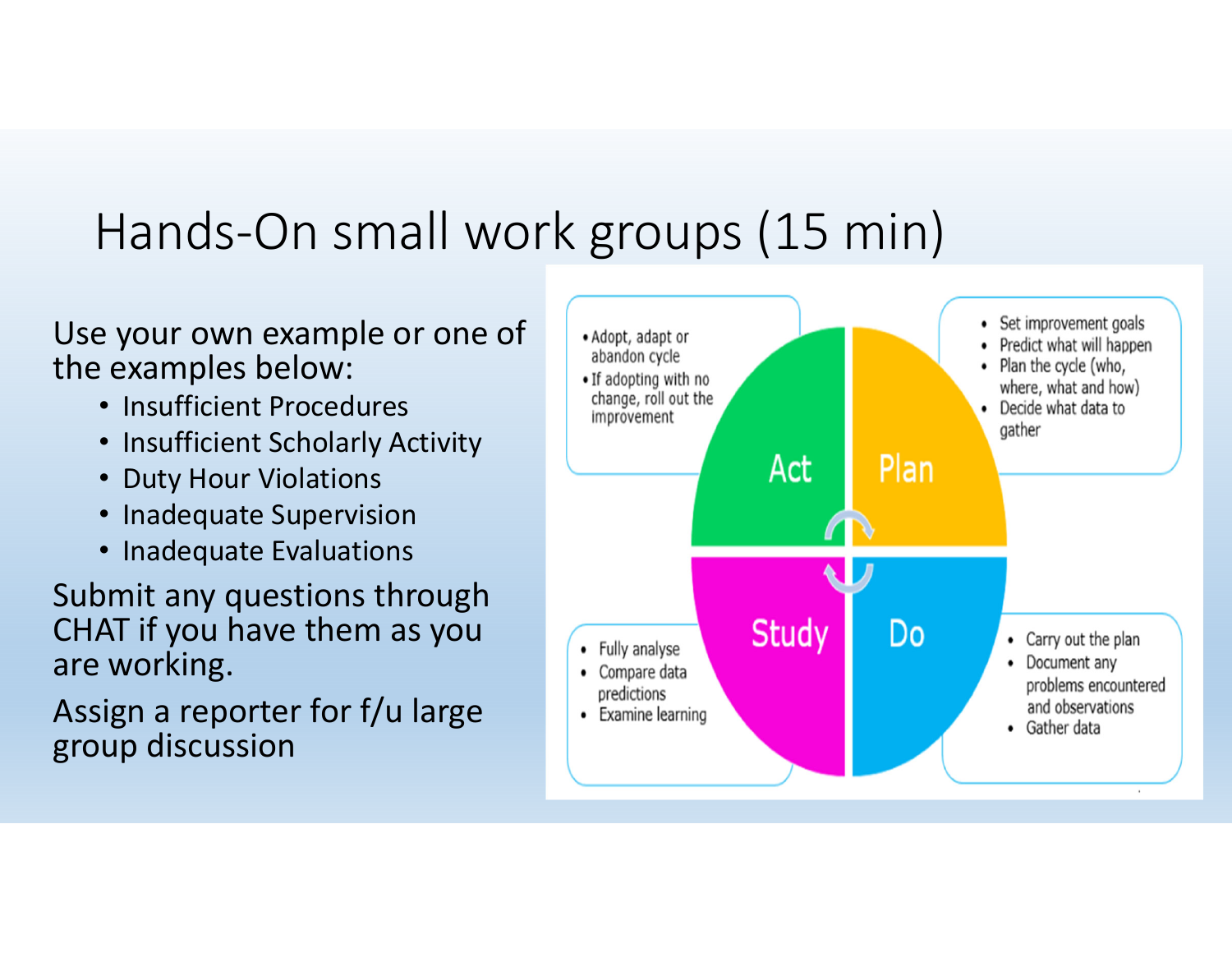### Hands‐On small work groups (15 min)

#### Use your own example or one of the examples below:

- Insufficient Procedures
- Insufficient Scholarly Activity
- Duty Hour Violations
- Inadequate Supervision
- Inadequate Evaluations

Submit any questions through CHAT if you have them as you are working.

Assign <sup>a</sup> reporter for f/u large group discussion

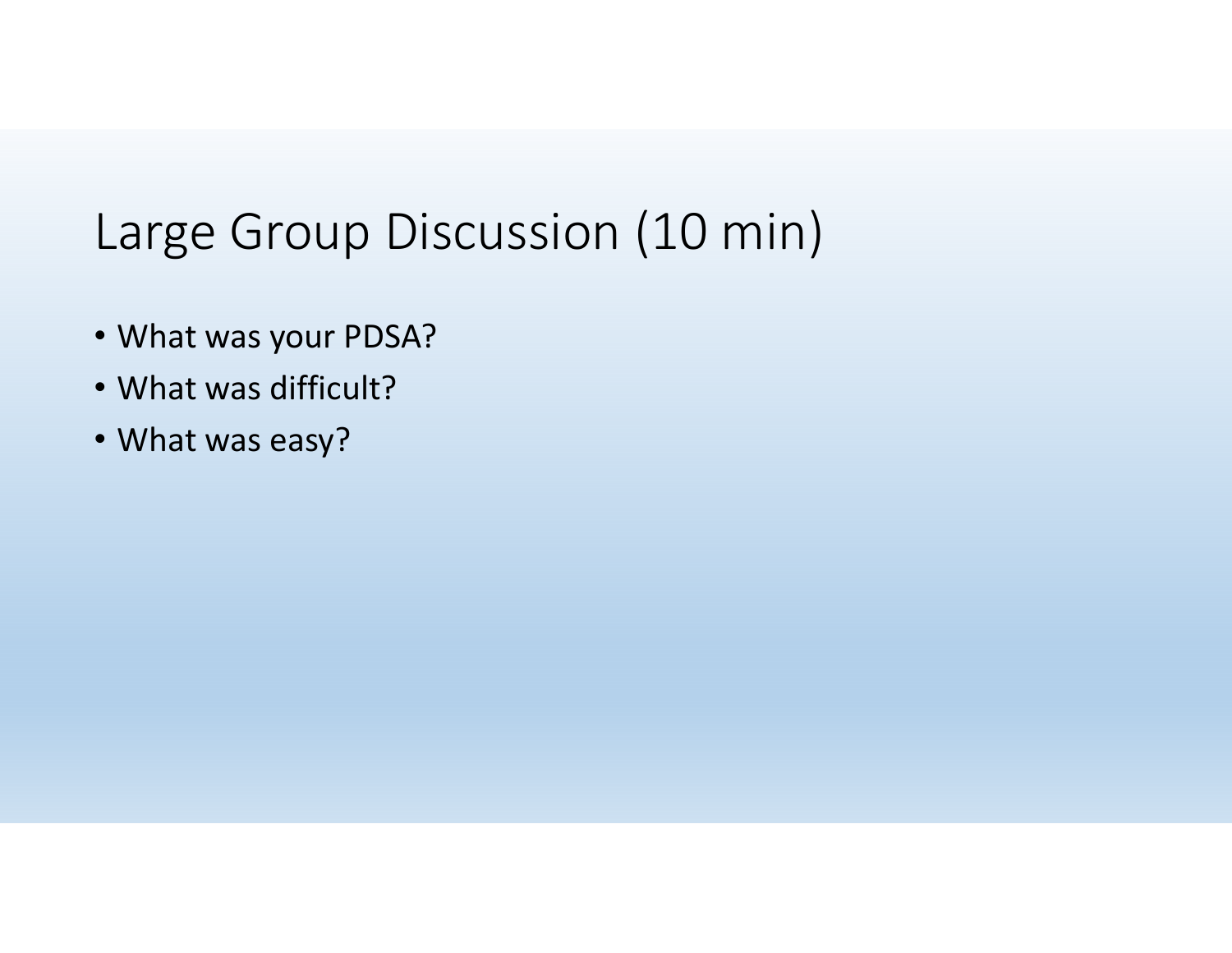## Large Group Discussion (10 min)

- What was your PDSA?
- What was difficult?
- What was easy?